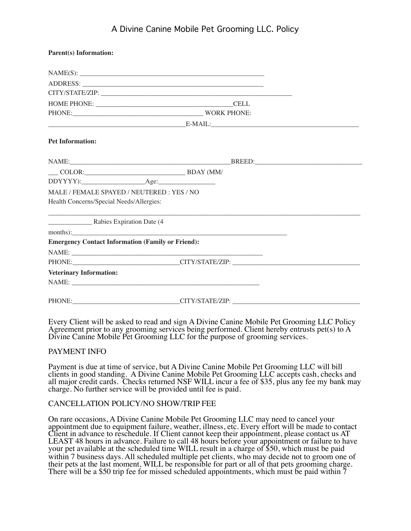# A Divine Canine Mobile Pet Grooming LLC. Policy

| <b>Parent(s)</b> Information:                            |                                          |  |
|----------------------------------------------------------|------------------------------------------|--|
|                                                          | NAME(S):                                 |  |
|                                                          |                                          |  |
|                                                          |                                          |  |
|                                                          |                                          |  |
|                                                          | PHONE: WORK PHONE:                       |  |
|                                                          | $E-MAIL:$                                |  |
| <b>Pet Information:</b>                                  |                                          |  |
|                                                          |                                          |  |
|                                                          | $\text{CDLOR:}\nightharpoonup$ BDAY (MM/ |  |
|                                                          |                                          |  |
| MALE / FEMALE SPAYED / NEUTERED: YES / NO                |                                          |  |
| Health Concerns/Special Needs/Allergies:                 |                                          |  |
|                                                          |                                          |  |
|                                                          | months):                                 |  |
| <b>Emergency Contact Information (Family or Friend):</b> |                                          |  |
|                                                          |                                          |  |
|                                                          | PHONE: CITY/STATE/ZIP:                   |  |
| <b>Veterinary Information:</b>                           |                                          |  |
|                                                          | NAME: NAME:                              |  |
|                                                          | PHONE: CITY/STATE/ZIP: CITY/STATE/ZIP:   |  |

Every Client will be asked to read and sign A Divine Canine Mobile Pet Grooming LLC Policy Agreement prior to any grooming services being performed. Client hereby entrusts pet(s) to  $A$ Divine Canine Mobile Pet Grooming LLC for the purpose of grooming services.

#### PAYMENT INFO

Payment is due at time of service, but A Divine Canine Mobile Pet Grooming LLC will bill clients in good standing. A Divine Canine Mobile Pet Grooming LLC accepts cash, checks and all major credit cards. Checks returned NSF WILL incur a fee of \$35, plus any fee my bank may charge. No further service will be provided until fee is paid.

#### CANCELLATION POLICY/NO SHOW/TRIP FEE

On rare occasions, A Divine Canine Mobile Pet Grooming LLC may need to cancel your appointment due to equipment failure, weather, illness, etc. Every effort will be made to contact Client in advance to reschedule. If Client cannot keep their appointment, please contact us AT LEAST 48 hours in advance. Failure to call 48 hours before your appointment or failure to have your pet available at the scheduled time WILL result in a charge of \$50, which must be paid within 7 business days. All scheduled multiple pet clients, who may decide not to groom one of their pets at the last moment, WILL be responsible for part or all of that pets grooming charge. There will be a \$50 trip fee for missed scheduled appointments, which must be paid within  $\bar{7}$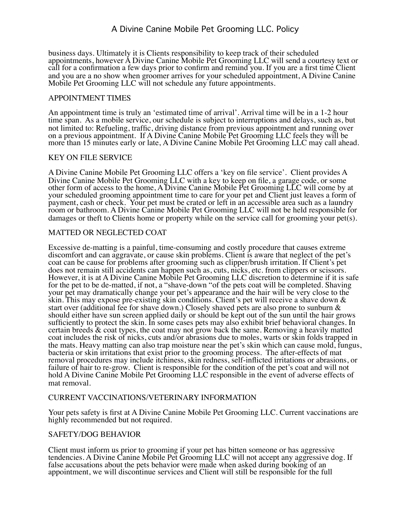business days. Ultimately it is Clients responsibility to keep track of their scheduled appointments, however A Divine Canine Mobile Pet Grooming LLC will send a courtesy text or call for a confirmation a few days prior to confirm and remind you. If you are a first time Client and you are a no show when groomer arrives for your scheduled appointment, A Divine Canine Mobile Pet Grooming LLC will not schedule any future appointments.

# APPOINTMENT TIMES

An appointment time is truly an 'estimated time of arrival'. Arrival time will be in a 1-2 hour time span. As a mobile service, our schedule is subject to interruptions and delays, such as, but not limited to: Refueling, traffic, driving distance from previous appointment and running over on a previous appointment. If A Divine Canine Mobile Pet Grooming LLC feels they will be more than 15 minutes early or late, A Divine Canine Mobile Pet Grooming LLC may call ahead.

# KEY ON FILE SERVICE

A Divine Canine Mobile Pet Grooming LLC offers a 'key on file service'. Client provides A Divine Canine Mobile Pet Grooming LLC with a key to keep on file, a garage code, or some other form of access to the home, A Divine Canine Mobile Pet Grooming LLC will come by at your scheduled grooming appointment time to care for your pet and Client just leaves a form of payment, cash or check. Your pet must be crated or left in an accessible area such as a laundry room or bathroom. A Divine Canine Mobile Pet Grooming LLC will not be held responsible for damages or theft to Clients home or property while on the service call for grooming your pet(s).

# MATTED OR NEGLECTED COAT

Excessive de-matting is a painful, time-consuming and costly procedure that causes extreme discomfort and can aggravate, or cause skin problems. Client is aware that neglect of the pet's coat can be cause for problems after grooming such as clipper/brush irritation. If Client's pet does not remain still accidents can happen such as, cuts, nicks, etc. from clippers or scissors. However, it is at A Divine Canine Mobile Pet Grooming LLC discretion to determine if it is safe for the pet to be de-matted, if not, a "shave-down "of the pets coat will be completed. Shaving your pet may dramatically change your pet's appearance and the hair will be very close to the skin. This may expose pre-existing skin conditions. Client's pet will receive a shave down & start over (additional fee for shave down.) Closely shaved pets are also prone to sunburn & should either have sun screen applied daily or should be kept out of the sun until the hair grows sufficiently to protect the skin. In some cases pets may also exhibit brief behavioral changes. In certain breeds & coat types, the coat may not grow back the same. Removing a heavily matted coat includes the risk of nicks, cuts and/or abrasions due to moles, warts or skin folds trapped in the mats. Heavy matting can also trap moisture near the pet's skin which can cause mold, fungus, bacteria or skin irritations that exist prior to the grooming process. The after-effects of mat removal procedures may include itchiness, skin redness, self-inflicted irritations or abrasions, or failure of hair to re-grow. Client is responsible for the condition of the pet's coat and will not hold A Divine Canine Mobile Pet Grooming LLC responsible in the event of adverse effects of mat removal.

#### CURRENT VACCINATIONS/VETERINARY INFORMATION

Your pets safety is first at A Divine Canine Mobile Pet Grooming LLC. Current vaccinations are highly recommended but not required.

#### SAFETY/DOG BEHAVIOR

Client must inform us prior to grooming if your pet has bitten someone or has aggressive tendencies. A Divine Canine Mobile Pet Grooming LLC will not accept any aggressive dog. If false accusations about the pets behavior were made when asked during booking of an appointment, we will discontinue services and Client will still be responsible for the full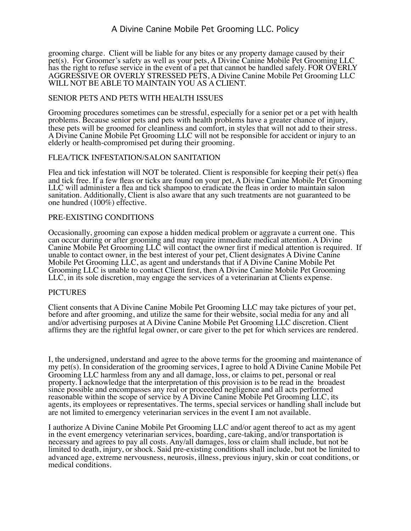# A Divine Canine Mobile Pet Grooming LLC. Policy

grooming charge. Client will be liable for any bites or any property damage caused by their pet(s). For Groomer's safety as well as your pets, A Divine Canine Mobile Pet Grooming LLC has the right to refuse service in the event of a pet that cannot be handled safely. FOR OVERLY AGGRESSIVE OR OVERLY STRESSED PETS, A Divine Canine Mobile Pet Grooming LLC WILL NOT BE ABLE TO MAINTAIN YOU AS A CLIENT.

# SENIOR PETS AND PETS WITH HEALTH ISSUES

Grooming procedures sometimes can be stressful, especially for a senior pet or a pet with health problems. Because senior pets and pets with health problems have a greater chance of injury, these pets will be groomed for cleanliness and comfort, in styles that will not add to their stress. A Divine Canine Mobile Pet Grooming LLC will not be responsible for accident or injury to an elderly or health-compromised pet during their grooming.

#### FLEA/TICK INFESTATION/SALON SANITATION

Flea and tick infestation will NOT be tolerated. Client is responsible for keeping their pet(s) flea and tick free. If a few fleas or ticks are found on your pet, A Divine Canine Mobile Pet Grooming LLC will administer a flea and tick shampoo to eradicate the fleas in order to maintain salon sanitation. Additionally, Client is also aware that any such treatments are not guaranteed to be one hundred (100%) effective.

#### PRE-EXISTING CONDITIONS

Occasionally, grooming can expose a hidden medical problem or aggravate a current one. This can occur during or after grooming and may require immediate medical attention. A Divine Canine Mobile Pet Grooming LLC will contact the owner first if medical attention is required. If unable to contact owner, in the best interest of your pet, Client designates A Divine Canine Mobile Pet Grooming LLC, as agent and understands that if A Divine Canine Mobile Pet Grooming LLC is unable to contact Client first, then A Divine Canine Mobile Pet Grooming LLC, in its sole discretion, may engage the services of a veterinarian at Clients expense.

#### **PICTURES**

Client consents that A Divine Canine Mobile Pet Grooming LLC may take pictures of your pet, before and after grooming, and utilize the same for their website, social media for any and all and/or advertising purposes at A Divine Canine Mobile Pet Grooming LLC discretion. Client affirms they are the rightful legal owner, or care giver to the pet for which services are rendered.

I, the undersigned, understand and agree to the above terms for the grooming and maintenance of my pet(s). In consideration of the grooming services, I agree to hold A Divine Canine Mobile Pet Grooming LLC harmless from any and all damage, loss, or claims to pet, personal or real property. I acknowledge that the interpretation of this provision is to be read in the broadest since possible and encompasses any real or proceeded negligence and all acts performed reasonable within the scope of service by A Divine Canine Mobile Pet Grooming LLC, its agents, its employees or representatives. The terms, special services or handling shall include but are not limited to emergency veterinarian services in the event I am not available.

I authorize A Divine Canine Mobile Pet Grooming LLC and/or agent thereof to act as my agent in the event emergency veterinarian services, boarding, care-taking, and/or transportation is necessary and agrees to pay all costs. Any/all damages, loss or claim shall include, but not be limited to death, injury, or shock. Said pre-existing conditions shall include, but not be limited to advanced age, extreme nervousness, neurosis, illness, previous injury, skin or coat conditions, or medical conditions.